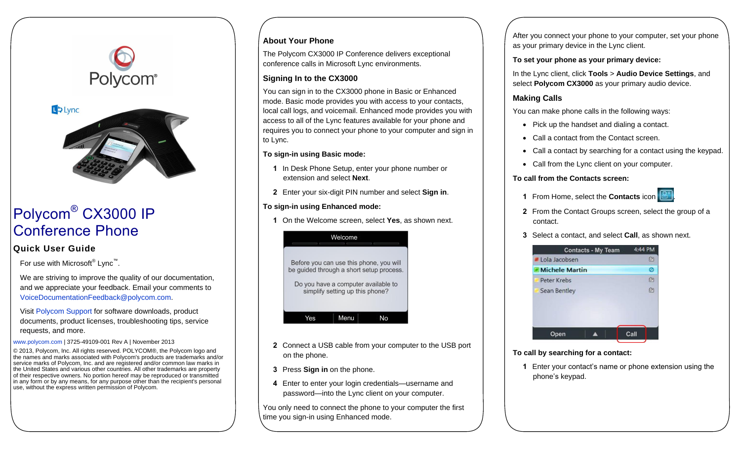# Polycom®



# Polycom® CX3000 IP Conference Phone

# **Quick User Guide**

For use with Microsoft<sup>®</sup> Lync<sup>™</sup>.

We are striving to improve the quality of our documentation, and we appreciate your feedback. Email your comments to [VoiceDocumentationFeedback@polycom.com.](mailto:VoiceDocumentationFeedback@polycom.com)

Visit [Polycom Support](http://support.polycom.com/PolycomService/support/us/support/voice/index.html) for software downloads, product documents, product licenses, troubleshooting tips, service requests, and more.

[www.polycom.com](http://www.polycom.com/) | 3725-49109-001 Rev A | November 2013

© 2013, Polycom, Inc. All rights reserved. POLYCOM®, the Polycom logo and the names and marks associated with Polycom's products are trademarks and/or service marks of Polycom, Inc. and are registered and/or common law marks in the United States and various other countries. All other trademarks are property of their respective owners. No portion hereof may be reproduced or transmitted in any form or by any means, for any purpose other than the recipient's personal use, without the express written permission of Polycom.

# **About Your Phone**

The Polycom CX3000 IP Conference delivers exceptional conference calls in Microsoft Lync environments.

#### **Signing In to the CX3000**

You can sign in to the CX3000 phone in Basic or Enhanced mode. Basic mode provides you with access to your contacts, local call logs, and voicemail. Enhanced mode provides you with access to all of the Lync features available for your phone and requires you to connect your phone to your computer and sign in to Lync.

#### **To sign-in using Basic mode:**

- **1** In Desk Phone Setup, enter your phone number or extension and select **Next**.
- **2** Enter your six-digit PIN number and select **Sign in**.

## **To sign-in using Enhanced mode:**

**1** On the Welcome screen, select **Yes**, as shown next.



- **2** Connect a USB cable from your computer to the USB port on the phone.
- **3** Press **Sign in** on the phone.
- **4** Enter to enter your login credentials—username and password—into the Lync client on your computer.

You only need to connect the phone to your computer the first time you sign-in using Enhanced mode.

After you connect your phone to your computer, set your phone as your primary device in the Lync client.

**To set your phone as your primary device:**

In the Lync client, click **Tools** > **Audio Device Settings**, and select **Polycom CX3000** as your primary audio device.

# **Making Calls**

You can make phone calls in the following ways:

- Pick up the handset and dialing a contact.
- Call a contact from the Contact screen.
- Call a contact by searching for a contact using the keypad.
- Call from the Lync client on your computer.

#### **To call from the Contacts screen:**

- **1** From Home, select the **Contacts** icon .
- **2** From the Contact Groups screen, select the group of a contact.
- **3** Select a contact, and select **Call**, as shown next.



#### **To call by searching for a contact:**

**1** Enter your contact's name or phone extension using the phone's keypad.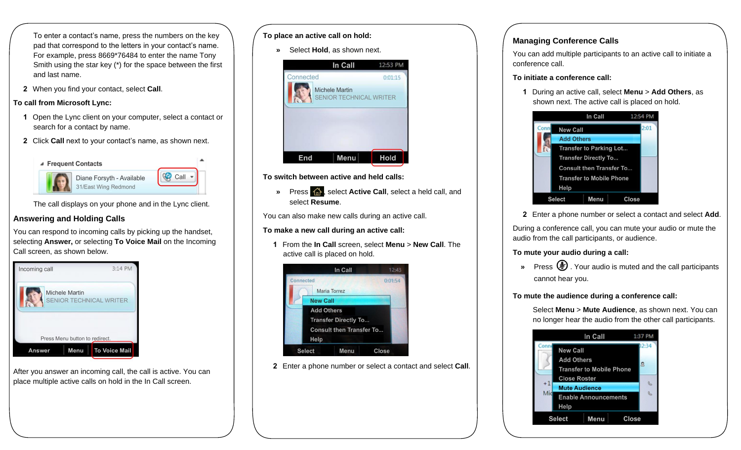To enter a contact's name, press the numbers on the key pad that correspond to the letters in your contact's name. For example, press 8669\*76484 to enter the name Tony Smith using the star key (\*) for the space between the first and last name.

**2** When you find your contact, select **Call**.

#### **To call from Microsoft Lync:**

- **1** Open the Lync client on your computer, select a contact or search for a contact by name.
- **2** Click **Call** next to your contact's name, as shown next.





The call displays on your phone and in the Lync client.

# **Answering and Holding Calls**

You can respond to incoming calls by picking up the handset, selecting **Answer,** or selecting **To Voice Mail** on the Incoming Call screen, as shown below.



After you answer an incoming call, the call is active. You can place multiple active calls on hold in the In Call screen.

#### **To place an active call on hold:**

**»** Select **Hold**, as shown next.



**To switch between active and held calls:**

**»** Press  $\hat{A}$ , select **Active Call**, select a held call, and select **Resume**.

You can also make new calls during an active call.

#### **To make a new call during an active call:**

**1** From the **In Call** screen, select **Menu** > **New Call**. The active call is placed on hold.



**2** Enter a phone number or select a contact and select **Call**.

# **Managing Conference Calls**

You can add multiple participants to an active call to initiate a conference call.

#### **To initiate a conference call:**

**1** During an active call, select **Menu** > **Add Others**, as shown next. The active call is placed on hold.



**2** Enter a phone number or select a contact and select **Add**.

During a conference call, you can mute your audio or mute the audio from the call participants, or audience.

# **To mute your audio during a call:**

» Press  $\circledast$  Your audio is muted and the call participants cannot hear you.

# **To mute the audience during a conference call:**

Select **Menu** > **Mute Audience**, as shown next. You can no longer hear the audio from the other call participants.

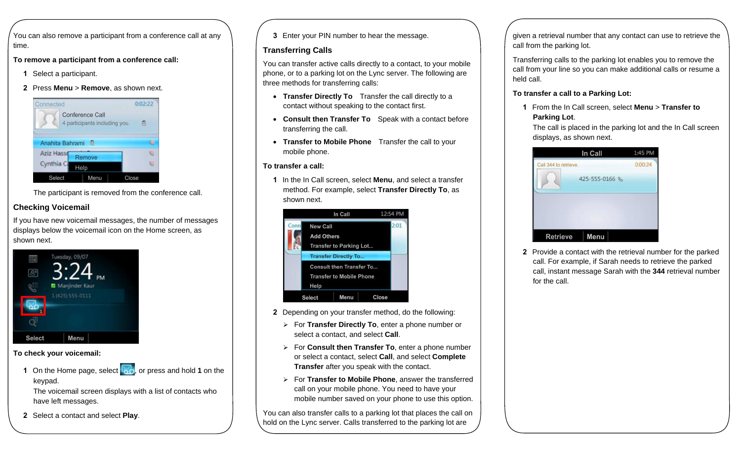You can also remove a participant from a conference call at any time.

**To remove a participant from a conference call:**

- **1** Select a participant.
- **2** Press **Menu** > **Remove**, as shown next.



The participant is removed from the conference call.

# **Checking Voicemail**

If you have new voicemail messages, the number of messages displays below the voicemail icon on the Home screen, as shown next.



#### **To check your voicemail:**

**1** On the Home page, select **on**, or press and hold **1** on the keypad.

The voicemail screen displays with a list of contacts who have left messages.

**2** Select a contact and select **Play**.

**3** Enter your PIN number to hear the message.

### **Transferring Calls**

You can transfer active calls directly to a contact, to your mobile phone, or to a parking lot on the Lync server. The following are three methods for transferring calls:

- **Transfer Directly To** Transfer the call directly to a contact without speaking to the contact first.
- **Consult then Transfer To** Speak with a contact before transferring the call.
- **Transfer to Mobile Phone** Transfer the call to your mobile phone.

## **To transfer a call:**

**1** In the In Call screen, select **Menu**, and select a transfer method. For example, select **Transfer Directly To**, as shown next.



- **2** Depending on your transfer method, do the following:
	- For **Transfer Directly To**, enter a phone number or select a contact, and select **Call**.
	- For **Consult then Transfer To**, enter a phone number or select a contact, select **Call**, and select **Complete Transfer** after you speak with the contact.
	- For **Transfer to Mobile Phone**, answer the transferred call on your mobile phone. You need to have your mobile number saved on your phone to use this option.

You can also transfer calls to a parking lot that places the call on hold on the Lync server. Calls transferred to the parking lot are

given a retrieval number that any contact can use to retrieve the call from the parking lot.

Transferring calls to the parking lot enables you to remove the call from your line so you can make additional calls or resume a held call.

# **To transfer a call to a Parking Lot:**

**1** From the In Call screen, select **Menu** > **Transfer to Parking Lot**.

The call is placed in the parking lot and the In Call screen displays, as shown next.



**2** Provide a contact with the retrieval number for the parked call. For example, if Sarah needs to retrieve the parked call, instant message Sarah with the **344** retrieval number for the call.